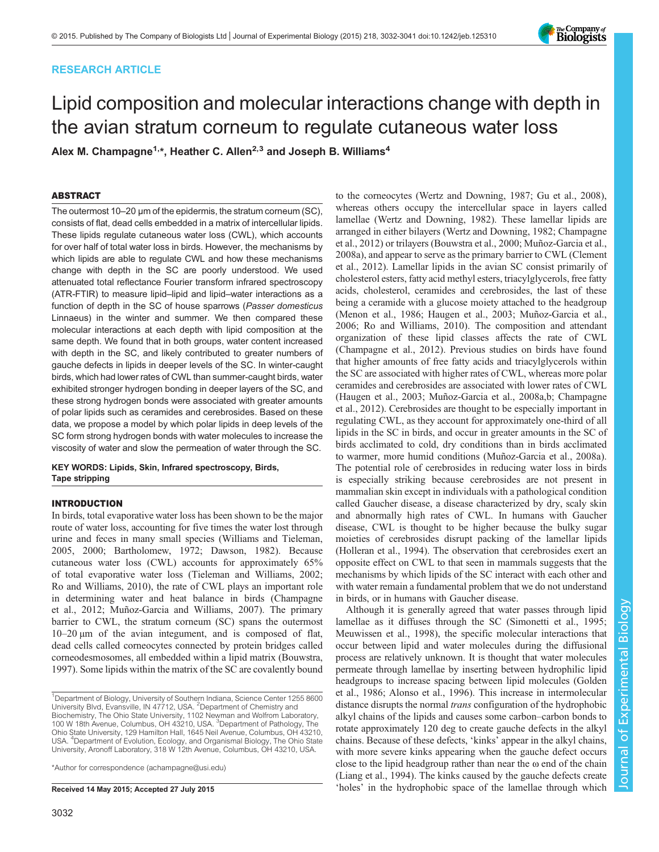# RESEARCH ARTICLE



# Lipid composition and molecular interactions change with depth in the avian stratum corneum to regulate cutaneous water loss

Alex M. Champagne<sup>1,\*</sup>, Heather C. Allen<sup>2,3</sup> and Joseph B. Williams<sup>4</sup>

# ABSTRACT

The outermost 10–20 µm of the epidermis, the stratum corneum (SC), consists of flat, dead cells embedded in a matrix of intercellular lipids. These lipids regulate cutaneous water loss (CWL), which accounts for over half of total water loss in birds. However, the mechanisms by which lipids are able to regulate CWL and how these mechanisms change with depth in the SC are poorly understood. We used attenuated total reflectance Fourier transform infrared spectroscopy (ATR-FTIR) to measure lipid–lipid and lipid–water interactions as a function of depth in the SC of house sparrows (Passer domesticus Linnaeus) in the winter and summer. We then compared these molecular interactions at each depth with lipid composition at the same depth. We found that in both groups, water content increased with depth in the SC, and likely contributed to greater numbers of gauche defects in lipids in deeper levels of the SC. In winter-caught birds, which had lower rates of CWL than summer-caught birds, water exhibited stronger hydrogen bonding in deeper layers of the SC, and these strong hydrogen bonds were associated with greater amounts of polar lipids such as ceramides and cerebrosides. Based on these data, we propose a model by which polar lipids in deep levels of the SC form strong hydrogen bonds with water molecules to increase the viscosity of water and slow the permeation of water through the SC.

KEY WORDS: Lipids, Skin, Infrared spectroscopy, Birds, Tape stripping

# INTRODUCTION

In birds, total evaporative water loss has been shown to be the major route of water loss, accounting for five times the water lost through urine and feces in many small species [\(Williams and Tieleman,](#page-9-0) [2005, 2000;](#page-9-0) [Bartholomew, 1972;](#page-7-0) [Dawson, 1982\)](#page-8-0). Because cutaneous water loss (CWL) accounts for approximately 65% of total evaporative water loss [\(Tieleman and Williams, 2002](#page-8-0); [Ro and Williams, 2010](#page-8-0)), the rate of CWL plays an important role in determining water and heat balance in birds ([Champagne](#page-8-0) [et al., 2012; Muñoz-Garcia and Williams, 2007\)](#page-8-0). The primary barrier to CWL, the stratum corneum (SC) spans the outermost 10–20 µm of the avian integument, and is composed of flat, dead cells called corneocytes connected by protein bridges called corneodesmosomes, all embedded within a lipid matrix ([Bouwstra,](#page-8-0) [1997](#page-8-0)). Some lipids within the matrix of the SC are covalently bound

\*Author for correspondence [\(achampagne@usi.edu\)](mailto:achampagne@usi.edu)

to the corneocytes ([Wertz and Downing, 1987;](#page-9-0) [Gu et al., 2008\)](#page-8-0), whereas others occupy the intercellular space in layers called lamellae ([Wertz and Downing, 1982](#page-9-0)). These lamellar lipids are arranged in either bilayers ([Wertz and Downing, 1982;](#page-9-0) [Champagne](#page-8-0) [et al., 2012](#page-8-0)) or trilayers [\(Bouwstra et al., 2000; Muñoz-Garcia et al.,](#page-8-0) [2008a](#page-8-0)), and appear to serve as the primary barrier to CWL [\(Clement](#page-8-0) [et al., 2012\)](#page-8-0). Lamellar lipids in the avian SC consist primarily of cholesterol esters, fatty acid methyl esters, triacylglycerols, free fatty acids, cholesterol, ceramides and cerebrosides, the last of these being a ceramide with a glucose moiety attached to the headgroup [\(Menon et al., 1986](#page-8-0); [Haugen et al., 2003; Muñoz-Garcia et al.,](#page-8-0) [2006; Ro and Williams, 2010](#page-8-0)). The composition and attendant organization of these lipid classes affects the rate of CWL [\(Champagne et al., 2012\)](#page-8-0). Previous studies on birds have found that higher amounts of free fatty acids and triacylglycerols within the SC are associated with higher rates of CWL, whereas more polar ceramides and cerebrosides are associated with lower rates of CWL [\(Haugen et al., 2003](#page-8-0); [Muñoz-Garcia et al., 2008a,b; Champagne](#page-8-0) [et al., 2012\)](#page-8-0). Cerebrosides are thought to be especially important in regulating CWL, as they account for approximately one-third of all lipids in the SC in birds, and occur in greater amounts in the SC of birds acclimated to cold, dry conditions than in birds acclimated to warmer, more humid conditions [\(Muñoz-Garcia et al., 2008a\)](#page-8-0). The potential role of cerebrosides in reducing water loss in birds is especially striking because cerebrosides are not present in mammalian skin except in individuals with a pathological condition called Gaucher disease, a disease characterized by dry, scaly skin and abnormally high rates of CWL. In humans with Gaucher disease, CWL is thought to be higher because the bulky sugar moieties of cerebrosides disrupt packing of the lamellar lipids [\(Holleran et al., 1994](#page-8-0)). The observation that cerebrosides exert an opposite effect on CWL to that seen in mammals suggests that the mechanisms by which lipids of the SC interact with each other and with water remain a fundamental problem that we do not understand in birds, or in humans with Gaucher disease.

Although it is generally agreed that water passes through lipid lamellae as it diffuses through the SC ([Simonetti et al., 1995](#page-8-0); [Meuwissen et al., 1998\)](#page-8-0), the specific molecular interactions that occur between lipid and water molecules during the diffusional process are relatively unknown. It is thought that water molecules permeate through lamellae by inserting between hydrophilic lipid headgroups to increase spacing between lipid molecules [\(Golden](#page-8-0) [et al., 1986;](#page-8-0) [Alonso et al., 1996](#page-7-0)). This increase in intermolecular distance disrupts the normal trans configuration of the hydrophobic alkyl chains of the lipids and causes some carbon–carbon bonds to rotate approximately 120 deg to create gauche defects in the alkyl chains. Because of these defects, 'kinks' appear in the alkyl chains, with more severe kinks appearing when the gauche defect occurs close to the lipid headgroup rather than near the  $\omega$  end of the chain [\(Liang et al., 1994\)](#page-8-0). The kinks caused by the gauche defects create Received 14 May 2015; Accepted 27 July 2015 <sup>the received</sup> in the hydrophobic space of the lamellae through which

<sup>&</sup>lt;sup>1</sup>Department of Biology, University of Southern Indiana, Science Center 1255 8600 University Blvd, Evansville, IN 47712, USA. <sup>2</sup>Department of Chemistry and Biochemistry, The Ohio State University, 1102 Newman and Wolfrom Laboratory, 100 W 18th Avenue, Columbus, OH 43210, USA. <sup>3</sup>Department of Pathology, The Ohio State University, 129 Hamilton Hall, 1645 Neil Avenue, Columbus, OH 43210, USA. <sup>4</sup>Department of Evolution, Ecology, and Organismal Biology, The Ohio State University, Aronoff Laboratory, 318 W 12th Avenue, Columbus, OH 43210, USA.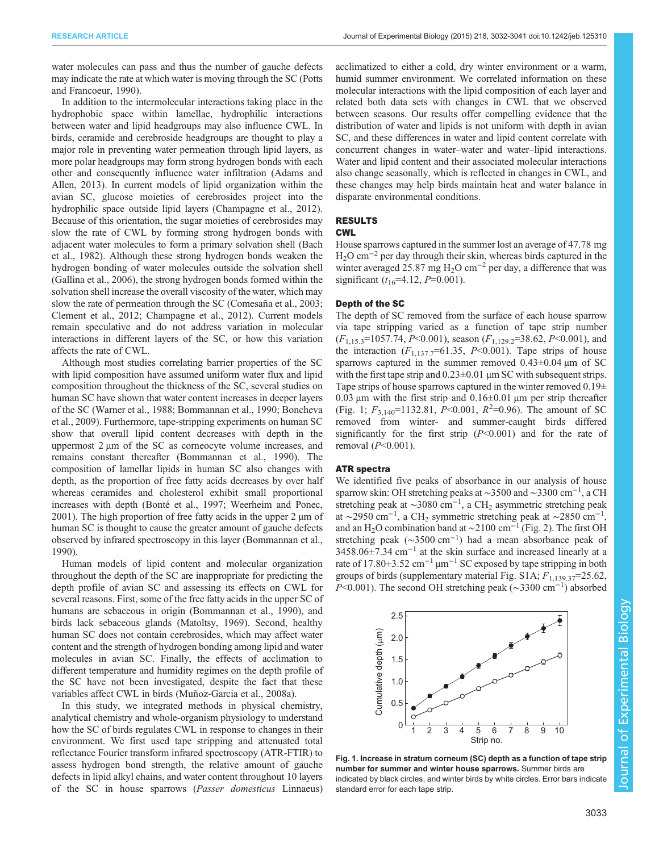water molecules can pass and thus the number of gauche defects may indicate the rate at which water is moving through the SC [\(Potts](#page-8-0) [and Francoeur, 1990](#page-8-0)).

In addition to the intermolecular interactions taking place in the hydrophobic space within lamellae, hydrophilic interactions between water and lipid headgroups may also influence CWL. In birds, ceramide and cerebroside headgroups are thought to play a major role in preventing water permeation through lipid layers, as more polar headgroups may form strong hydrogen bonds with each other and consequently influence water infiltration [\(Adams and](#page-7-0) [Allen, 2013](#page-7-0)). In current models of lipid organization within the avian SC, glucose moieties of cerebrosides project into the hydrophilic space outside lipid layers ([Champagne et al., 2012\)](#page-8-0). Because of this orientation, the sugar moieties of cerebrosides may slow the rate of CWL by forming strong hydrogen bonds with adjacent water molecules to form a primary solvation shell ([Bach](#page-7-0) [et al., 1982\)](#page-7-0). Although these strong hydrogen bonds weaken the hydrogen bonding of water molecules outside the solvation shell [\(Gallina et al., 2006\)](#page-8-0), the strong hydrogen bonds formed within the solvation shell increase the overall viscosity of the water, which may slow the rate of permeation through the SC [\(Comesaña et al., 2003](#page-8-0); [Clement et al., 2012](#page-8-0); [Champagne et al., 2012\)](#page-8-0). Current models remain speculative and do not address variation in molecular interactions in different layers of the SC, or how this variation affects the rate of CWL.

Although most studies correlating barrier properties of the SC with lipid composition have assumed uniform water flux and lipid composition throughout the thickness of the SC, several studies on human SC have shown that water content increases in deeper layers of the SC ([Warner et al., 1988](#page-9-0); [Bommannan et al., 1990](#page-7-0); [Boncheva](#page-7-0) [et al., 2009](#page-7-0)). Furthermore, tape-stripping experiments on human SC show that overall lipid content decreases with depth in the uppermost 2 µm of the SC as corneocyte volume increases, and remains constant thereafter [\(Bommannan et al., 1990](#page-7-0)). The composition of lamellar lipids in human SC also changes with depth, as the proportion of free fatty acids decreases by over half whereas ceramides and cholesterol exhibit small proportional increases with depth [\(Bonté et al., 1997](#page-8-0); [Weerheim and Ponec,](#page-9-0) [2001](#page-9-0)). The high proportion of free fatty acids in the upper  $2 \mu m$  of human SC is thought to cause the greater amount of gauche defects observed by infrared spectroscopy in this layer ([Bommannan et al.,](#page-7-0) [1990](#page-7-0)).

Human models of lipid content and molecular organization throughout the depth of the SC are inappropriate for predicting the depth profile of avian SC and assessing its effects on CWL for several reasons. First, some of the free fatty acids in the upper SC of humans are sebaceous in origin [\(Bommannan et al., 1990\)](#page-7-0), and birds lack sebaceous glands ([Matoltsy, 1969\)](#page-8-0). Second, healthy human SC does not contain cerebrosides, which may affect water content and the strength of hydrogen bonding among lipid and water molecules in avian SC. Finally, the effects of acclimation to different temperature and humidity regimes on the depth profile of the SC have not been investigated, despite the fact that these variables affect CWL in birds [\(Muñoz-Garcia et al., 2008a\)](#page-8-0).

In this study, we integrated methods in physical chemistry, analytical chemistry and whole-organism physiology to understand how the SC of birds regulates CWL in response to changes in their environment. We first used tape stripping and attenuated total reflectance Fourier transform infrared spectroscopy (ATR-FTIR) to assess hydrogen bond strength, the relative amount of gauche defects in lipid alkyl chains, and water content throughout 10 layers of the SC in house sparrows (Passer domesticus Linnaeus) acclimatized to either a cold, dry winter environment or a warm, humid summer environment. We correlated information on these molecular interactions with the lipid composition of each layer and related both data sets with changes in CWL that we observed between seasons. Our results offer compelling evidence that the distribution of water and lipids is not uniform with depth in avian SC, and these differences in water and lipid content correlate with concurrent changes in water–water and water–lipid interactions. Water and lipid content and their associated molecular interactions also change seasonally, which is reflected in changes in CWL, and these changes may help birds maintain heat and water balance in disparate environmental conditions.

# RESULTS

## CWL

House sparrows captured in the summer lost an average of 47.78 mg  $H<sub>2</sub>O$  cm<sup>-2</sup> per day through their skin, whereas birds captured in the winter averaged 25.87 mg H<sub>2</sub>O cm<sup>-2</sup> per day, a difference that was significant  $(t_{16}=4.12, P=0.001)$ .

# Depth of the SC

The depth of SC removed from the surface of each house sparrow via tape stripping varied as a function of tape strip number  $(F_{1,15,3}=1057.74, P<0.001)$ , season  $(F_{1,129,2}=38.62, P<0.001)$ , and the interaction  $(F_{1,137.7} = 61.35, P < 0.001)$ . Tape strips of house sparrows captured in the summer removed  $0.43\pm0.04 \,\mu m$  of SC with the first tape strip and  $0.23 \pm 0.01$  µm SC with subsequent strips. Tape strips of house sparrows captured in the winter removed  $0.19\pm$ 0.03  $\mu$ m with the first strip and 0.16 $\pm$ 0.01  $\mu$ m per strip thereafter (Fig. 1;  $F_{3,140}$ =1132.81,  $\overline{P}$ <0.001,  $R^2$ =0.96). The amount of SC removed from winter- and summer-caught birds differed significantly for the first strip  $(P<0.001)$  and for the rate of removal  $(P<0.001)$ .

## ATR spectra

We identified five peaks of absorbance in our analysis of house sparrow skin: OH stretching peaks at ~3500 and ~3300 cm<sup>-1</sup>, a CH stretching peak at ~3080 cm<sup>-1</sup>, a CH<sub>2</sub> asymmetric stretching peak at ~2950 cm<sup>-1</sup>, a CH<sub>2</sub> symmetric stretching peak at ~2850 cm<sup>-1</sup>, and an H<sub>2</sub>O combination band at  $\sim$ 2100 cm<sup>-1</sup> [\(Fig. 2\)](#page-2-0). The first OH stretching peak (∼3500 cm−<sup>1</sup> ) had a mean absorbance peak of 3458.06±7.34 cm−<sup>1</sup> at the skin surface and increased linearly at a rate of 17.80 $\pm$ 3.52 cm<sup>-1</sup> µm<sup>-1</sup> SC exposed by tape stripping in both groups of birds [\(supplementary material Fig. S1A](http://jeb.biologists.org/lookup/suppl/doi:10.1242/jeb.125310/-/DC1);  $F_{1,139,37}$ =25.62, P<0.001). The second OH stretching peak (~3300 cm<sup>-1</sup>) absorbed



Fig. 1. Increase in stratum corneum (SC) depth as a function of tape strip number for summer and winter house sparrows. Summer birds are indicated by black circles, and winter birds by white circles. Error bars indicate standard error for each tape strip.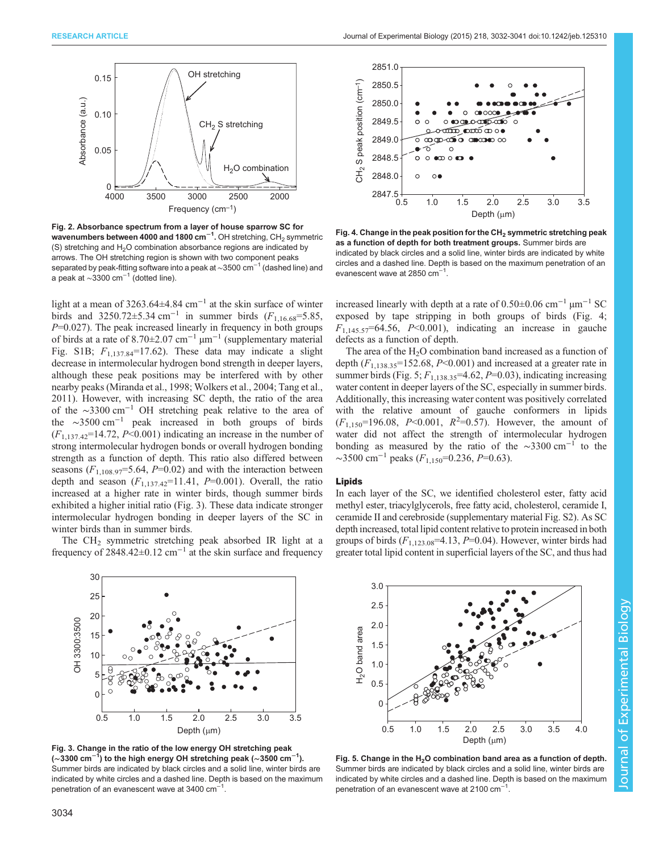<span id="page-2-0"></span>



Fig. 2. Absorbance spectrum from a layer of house sparrow SC for wavenumbers between 4000 and 1800 cm<sup>-1</sup>. OH stretching, CH<sub>2</sub> symmetric (S) stretching and  $H<sub>2</sub>O$  combination absorbance regions are indicated by arrows. The OH stretching region is shown with two component peaks separated by peak-fitting software into a peak at ~3500 cm<sup>-1</sup> (dashed line) and a peak at ∼3300 cm−<sup>1</sup> (dotted line).

light at a mean of 3263.64±4.84 cm−<sup>1</sup> at the skin surface of winter birds and 3250.72±5.34 cm<sup>-1</sup> in summer birds ( $F_{1,16.68}$ =5.85,  $P=0.027$ ). The peak increased linearly in frequency in both groups of birds at a rate of 8.70±2.07 cm−<sup>1</sup> µm−<sup>1</sup> ([supplementary material](http://jeb.biologists.org/lookup/suppl/doi:10.1242/jeb.125310/-/DC1) [Fig. S1B](http://jeb.biologists.org/lookup/suppl/doi:10.1242/jeb.125310/-/DC1);  $F_{1,137,84}$ =17.62). These data may indicate a slight decrease in intermolecular hydrogen bond strength in deeper layers, although these peak positions may be interfered with by other nearby peaks ([Miranda et al., 1998](#page-8-0); [Wolkers et al., 2004;](#page-9-0) [Tang et al.,](#page-8-0) [2011](#page-8-0)). However, with increasing SC depth, the ratio of the area of the ∼3300 cm−<sup>1</sup> OH stretching peak relative to the area of the ∼3500 cm−<sup>1</sup> peak increased in both groups of birds  $(F_{1,137.42}$ =14.72,  $P<0.001$ ) indicating an increase in the number of strong intermolecular hydrogen bonds or overall hydrogen bonding strength as a function of depth. This ratio also differed between seasons  $(F_{1,108.97} = 5.64, P = 0.02)$  and with the interaction between depth and season  $(F_{1,137,42}=11.41, P=0.001)$ . Overall, the ratio increased at a higher rate in winter birds, though summer birds exhibited a higher initial ratio (Fig. 3). These data indicate stronger intermolecular hydrogen bonding in deeper layers of the SC in winter birds than in summer birds.

The CH<sub>2</sub> symmetric stretching peak absorbed IR light at a frequency of  $2848.42\pm0.12$  cm<sup>-1</sup> at the skin surface and frequency



Fig. 3. Change in the ratio of the low energy OH stretching peak ( $\sim$ 3300 cm $^{-1}$ ) to the high energy OH stretching peak ( $\sim$ 3500 cm $^{-1}$ ). Summer birds are indicated by black circles and a solid line, winter birds are indicated by white circles and a dashed line. Depth is based on the maximum penetration of an evanescent wave at 3400  $\text{cm}^{-1}$ .



Fig. 4. Change in the peak position for the  $CH<sub>2</sub>$  symmetric stretching peak as a function of depth for both treatment groups. Summer birds are indicated by black circles and a solid line, winter birds are indicated by white circles and a dashed line. Depth is based on the maximum penetration of an evanescent wave at 2850  $cm^{-1}$ .

increased linearly with depth at a rate of  $0.50\pm0.06$  cm<sup>-1</sup> µm<sup>-1</sup> SC exposed by tape stripping in both groups of birds (Fig. 4;  $F_{1,145.57}$ =64.56, P<0.001), indicating an increase in gauche defects as a function of depth.

The area of the  $H<sub>2</sub>O$  combination band increased as a function of depth  $(F_{1,138.35}$ =152.68, P<0.001) and increased at a greater rate in summer birds (Fig. 5;  $F_{1,138.35}$ =4.62, P=0.03), indicating increasing water content in deeper layers of the SC, especially in summer birds. Additionally, this increasing water content was positively correlated with the relative amount of gauche conformers in lipids  $(F_{1,150} = 196.08, P < 0.001, R<sup>2</sup> = 0.57)$ . However, the amount of water did not affect the strength of intermolecular hydrogen bonding as measured by the ratio of the ∼3300 cm−<sup>1</sup> to the  $\sim$ 3500 cm<sup>-1</sup> peaks ( $F_{1,150}$ =0.236, P=0.63).

#### Lipids

In each layer of the SC, we identified cholesterol ester, fatty acid methyl ester, triacylglycerols, free fatty acid, cholesterol, ceramide I, ceramide II and cerebroside [\(supplementary material Fig. S2\)](http://jeb.biologists.org/lookup/suppl/doi:10.1242/jeb.125310/-/DC1). As SC depth increased, total lipid content relative to protein increased in both groups of birds  $(F_{1,123.08} = 4.13, P = 0.04)$ . However, winter birds had greater total lipid content in superficial layers of the SC, and thus had



Fig. 5. Change in the  $H<sub>2</sub>O$  combination band area as a function of depth. Summer birds are indicated by black circles and a solid line, winter birds are indicated by white circles and a dashed line. Depth is based on the maximum penetration of an evanescent wave at 2100 cm<sup>-1</sup>.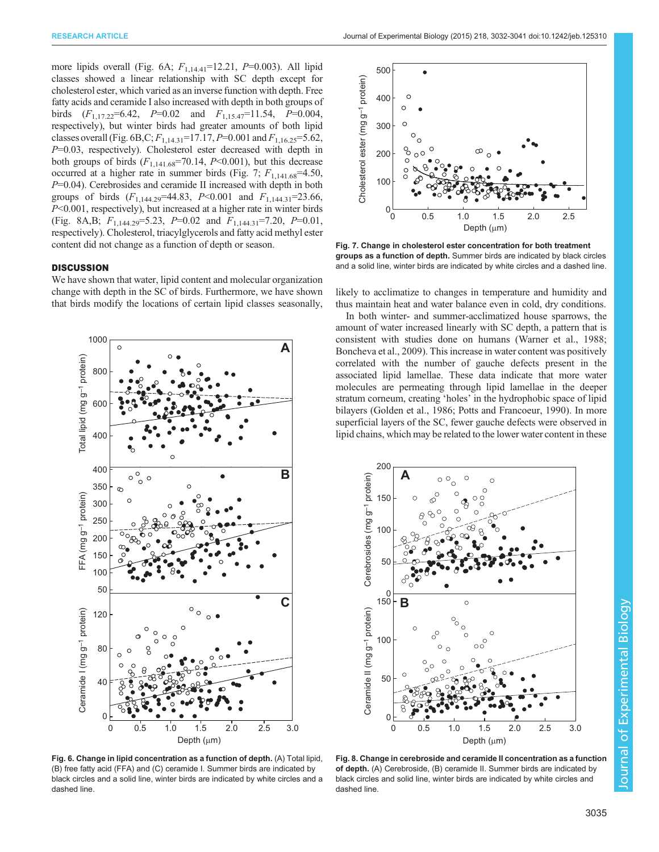more lipids overall (Fig. 6A;  $F_{1,14,41}$ =12.21,  $P$ =0.003). All lipid classes showed a linear relationship with SC depth except for cholesterol ester, which varied as an inverse function with depth. Free fatty acids and ceramide I also increased with depth in both groups of birds  $(F_{1,17.22} = 6.42, P = 0.02$  and  $F_{1,15.47} = 11.54, P = 0.004$ , respectively), but winter birds had greater amounts of both lipid classes overall (Fig. 6B,C;  $F_{1,14,31}$ =17.17, P=0.001 and  $F_{1,16,25}$ =5.62,  $P=0.03$ , respectively). Cholesterol ester decreased with depth in both groups of birds  $(F_{1,141.68} = 70.14, P < 0.001)$ , but this decrease occurred at a higher rate in summer birds (Fig. 7;  $F_{1,141.68}$ =4.50,  $P=0.04$ ). Cerebrosides and ceramide II increased with depth in both groups of birds  $(F_{1,144.29} = 44.83, P < 0.001$  and  $F_{1,144.31} = 23.66,$ P<0.001, respectively), but increased at a higher rate in winter birds (Fig. 8A,B;  $F_{1,144.29} = 5.23$ ,  $P = 0.02$  and  $F_{1,144.31} = 7.20$ ,  $P = 0.01$ , respectively). Cholesterol, triacylglycerols and fatty acid methyl ester content did not change as a function of depth or season.

# **DISCUSSION**

We have shown that water, lipid content and molecular organization change with depth in the SC of birds. Furthermore, we have shown that birds modify the locations of certain lipid classes seasonally,



Fig. 6. Change in lipid concentration as a function of depth. (A) Total lipid, (B) free fatty acid (FFA) and (C) ceramide I. Summer birds are indicated by black circles and a solid line, winter birds are indicated by white circles and a dashed line



Fig. 7. Change in cholesterol ester concentration for both treatment groups as a function of depth. Summer birds are indicated by black circles and a solid line, winter birds are indicated by white circles and a dashed line.

likely to acclimatize to changes in temperature and humidity and thus maintain heat and water balance even in cold, dry conditions.

In both winter- and summer-acclimatized house sparrows, the amount of water increased linearly with SC depth, a pattern that is consistent with studies done on humans ([Warner et al., 1988](#page-9-0); [Boncheva et al., 2009](#page-7-0)). This increase in water content was positively correlated with the number of gauche defects present in the associated lipid lamellae. These data indicate that more water molecules are permeating through lipid lamellae in the deeper stratum corneum, creating 'holes' in the hydrophobic space of lipid bilayers [\(Golden et al., 1986; Potts and Francoeur, 1990](#page-8-0)). In more superficial layers of the SC, fewer gauche defects were observed in lipid chains, which may be related to the lower water content in these



Fig. 8. Change in cerebroside and ceramide II concentration as a function of depth. (A) Cerebroside, (B) ceramide II. Summer birds are indicated by black circles and solid line, winter birds are indicated by white circles and dashed line.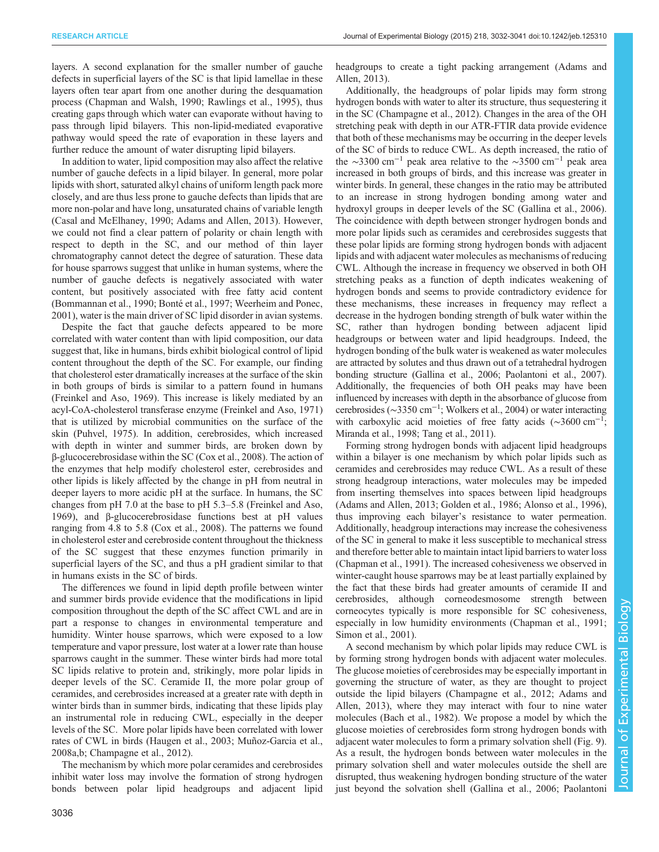layers. A second explanation for the smaller number of gauche defects in superficial layers of the SC is that lipid lamellae in these layers often tear apart from one another during the desquamation process [\(Chapman and Walsh, 1990](#page-8-0); [Rawlings et al., 1995\)](#page-8-0), thus creating gaps through which water can evaporate without having to pass through lipid bilayers. This non-lipid-mediated evaporative pathway would speed the rate of evaporation in these layers and further reduce the amount of water disrupting lipid bilayers.

In addition to water, lipid composition may also affect the relative number of gauche defects in a lipid bilayer. In general, more polar lipids with short, saturated alkyl chains of uniform length pack more closely, and are thus less prone to gauche defects than lipids that are more non-polar and have long, unsaturated chains of variable length [\(Casal and McElhaney, 1990;](#page-8-0) [Adams and Allen, 2013](#page-7-0)). However, we could not find a clear pattern of polarity or chain length with respect to depth in the SC, and our method of thin layer chromatography cannot detect the degree of saturation. These data for house sparrows suggest that unlike in human systems, where the number of gauche defects is negatively associated with water content, but positively associated with free fatty acid content [\(Bommannan et al., 1990;](#page-7-0) [Bonté et al., 1997;](#page-8-0) [Weerheim and Ponec,](#page-9-0) [2001](#page-9-0)), water is the main driver of SC lipid disorder in avian systems.

Despite the fact that gauche defects appeared to be more correlated with water content than with lipid composition, our data suggest that, like in humans, birds exhibit biological control of lipid content throughout the depth of the SC. For example, our finding that cholesterol ester dramatically increases at the surface of the skin in both groups of birds is similar to a pattern found in humans [\(Freinkel and Aso, 1969\)](#page-8-0). This increase is likely mediated by an acyl-CoA-cholesterol transferase enzyme [\(Freinkel and Aso, 1971\)](#page-8-0) that is utilized by microbial communities on the surface of the skin [\(Puhvel, 1975](#page-8-0)). In addition, cerebrosides, which increased with depth in winter and summer birds, are broken down by β-glucocerebrosidase within the SC [\(Cox et al., 2008\)](#page-8-0). The action of the enzymes that help modify cholesterol ester, cerebrosides and other lipids is likely affected by the change in pH from neutral in deeper layers to more acidic pH at the surface. In humans, the SC changes from pH 7.0 at the base to pH 5.3–5.8 [\(Freinkel and Aso,](#page-8-0) [1969](#page-8-0)), and β-glucocerebrosidase functions best at pH values ranging from 4.8 to 5.8 ([Cox et al., 2008\)](#page-8-0). The patterns we found in cholesterol ester and cerebroside content throughout the thickness of the SC suggest that these enzymes function primarily in superficial layers of the SC, and thus a pH gradient similar to that in humans exists in the SC of birds.

The differences we found in lipid depth profile between winter and summer birds provide evidence that the modifications in lipid composition throughout the depth of the SC affect CWL and are in part a response to changes in environmental temperature and humidity. Winter house sparrows, which were exposed to a low temperature and vapor pressure, lost water at a lower rate than house sparrows caught in the summer. These winter birds had more total SC lipids relative to protein and, strikingly, more polar lipids in deeper levels of the SC. Ceramide II, the more polar group of ceramides, and cerebrosides increased at a greater rate with depth in winter birds than in summer birds, indicating that these lipids play an instrumental role in reducing CWL, especially in the deeper levels of the SC. More polar lipids have been correlated with lower rates of CWL in birds ([Haugen et al., 2003](#page-8-0); [Muñoz-Garcia et al.,](#page-8-0) [2008a](#page-8-0),[b](#page-8-0); [Champagne et al., 2012\)](#page-8-0).

The mechanism by which more polar ceramides and cerebrosides inhibit water loss may involve the formation of strong hydrogen bonds between polar lipid headgroups and adjacent lipid

headgroups to create a tight packing arrangement ([Adams and](#page-7-0) [Allen, 2013\)](#page-7-0).

Additionally, the headgroups of polar lipids may form strong hydrogen bonds with water to alter its structure, thus sequestering it in the SC ([Champagne et al., 2012](#page-8-0)). Changes in the area of the OH stretching peak with depth in our ATR-FTIR data provide evidence that both of these mechanisms may be occurring in the deeper levels of the SC of birds to reduce CWL. As depth increased, the ratio of the ∼3300 cm<sup>-1</sup> peak area relative to the ∼3500 cm<sup>-1</sup> peak area increased in both groups of birds, and this increase was greater in winter birds. In general, these changes in the ratio may be attributed to an increase in strong hydrogen bonding among water and hydroxyl groups in deeper levels of the SC [\(Gallina et al., 2006\)](#page-8-0). The coincidence with depth between stronger hydrogen bonds and more polar lipids such as ceramides and cerebrosides suggests that these polar lipids are forming strong hydrogen bonds with adjacent lipids and with adjacent water molecules as mechanisms of reducing CWL. Although the increase in frequency we observed in both OH stretching peaks as a function of depth indicates weakening of hydrogen bonds and seems to provide contradictory evidence for these mechanisms, these increases in frequency may reflect a decrease in the hydrogen bonding strength of bulk water within the SC, rather than hydrogen bonding between adjacent lipid headgroups or between water and lipid headgroups. Indeed, the hydrogen bonding of the bulk water is weakened as water molecules are attracted by solutes and thus drawn out of a tetrahedral hydrogen bonding structure [\(Gallina et al., 2006; Paolantoni et al., 2007\)](#page-8-0). Additionally, the frequencies of both OH peaks may have been influenced by increases with depth in the absorbance of glucose from cerebrosides (∼3350 cm−<sup>1</sup> ; [Wolkers et al., 2004\)](#page-9-0) or water interacting with carboxylic acid moieties of free fatty acids (~3600 cm<sup>-1</sup>; [Miranda et al., 1998](#page-8-0); [Tang et al., 2011\)](#page-8-0).

Forming strong hydrogen bonds with adjacent lipid headgroups within a bilayer is one mechanism by which polar lipids such as ceramides and cerebrosides may reduce CWL. As a result of these strong headgroup interactions, water molecules may be impeded from inserting themselves into spaces between lipid headgroups [\(Adams and Allen, 2013;](#page-7-0) [Golden et al., 1986;](#page-8-0) [Alonso et al., 1996\)](#page-7-0), thus improving each bilayer's resistance to water permeation. Additionally, headgroup interactions may increase the cohesiveness of the SC in general to make it less susceptible to mechanical stress and therefore better able to maintain intact lipid barriers to water loss [\(Chapman et al., 1991\)](#page-8-0). The increased cohesiveness we observed in winter-caught house sparrows may be at least partially explained by the fact that these birds had greater amounts of ceramide II and cerebrosides, although corneodesmosome strength between corneocytes typically is more responsible for SC cohesiveness, especially in low humidity environments [\(Chapman et al., 1991](#page-8-0); [Simon et al., 2001\)](#page-8-0).

A second mechanism by which polar lipids may reduce CWL is by forming strong hydrogen bonds with adjacent water molecules. The glucose moieties of cerebrosides may be especially important in governing the structure of water, as they are thought to project outside the lipid bilayers [\(Champagne et al., 2012;](#page-8-0) [Adams and](#page-7-0) [Allen, 2013\)](#page-7-0), where they may interact with four to nine water molecules [\(Bach et al., 1982](#page-7-0)). We propose a model by which the glucose moieties of cerebrosides form strong hydrogen bonds with adjacent water molecules to form a primary solvation shell ([Fig. 9\)](#page-5-0). As a result, the hydrogen bonds between water molecules in the primary solvation shell and water molecules outside the shell are disrupted, thus weakening hydrogen bonding structure of the water just beyond the solvation shell [\(Gallina et al., 2006](#page-8-0); [Paolantoni](#page-8-0)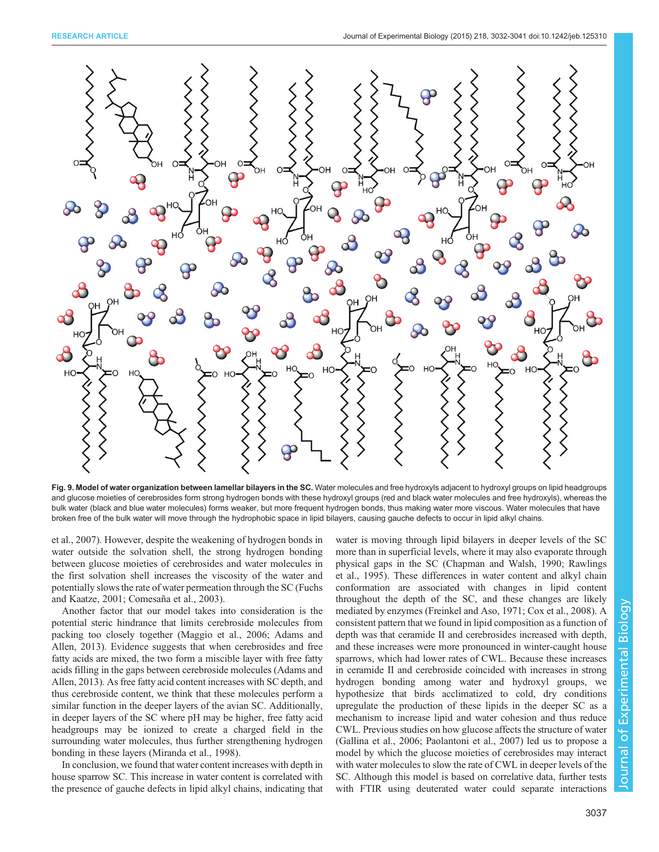<span id="page-5-0"></span>

Fig. 9. Model of water organization between lamellar bilayers in the SC. Water molecules and free hydroxyls adjacent to hydroxyl groups on lipid headgroups and glucose moieties of cerebrosides form strong hydrogen bonds with these hydroxyl groups (red and black water molecules and free hydroxyls), whereas the bulk water (black and blue water molecules) forms weaker, but more frequent hydrogen bonds, thus making water more viscous. Water molecules that have broken free of the bulk water will move through the hydrophobic space in lipid bilayers, causing gauche defects to occur in lipid alkyl chains.

[et al., 2007](#page-8-0)). However, despite the weakening of hydrogen bonds in water outside the solvation shell, the strong hydrogen bonding between glucose moieties of cerebrosides and water molecules in the first solvation shell increases the viscosity of the water and potentially slows the rate of water permeation through the SC ([Fuchs](#page-8-0) [and Kaatze, 2001](#page-8-0); [Comesaña et al., 2003\)](#page-8-0).

Another factor that our model takes into consideration is the potential steric hindrance that limits cerebroside molecules from packing too closely together [\(Maggio et al., 2006](#page-8-0); [Adams and](#page-7-0) [Allen, 2013\)](#page-7-0). Evidence suggests that when cerebrosides and free fatty acids are mixed, the two form a miscible layer with free fatty acids filling in the gaps between cerebroside molecules ([Adams and](#page-7-0) [Allen, 2013](#page-7-0)). As free fatty acid content increases with SC depth, and thus cerebroside content, we think that these molecules perform a similar function in the deeper layers of the avian SC. Additionally, in deeper layers of the SC where pH may be higher, free fatty acid headgroups may be ionized to create a charged field in the surrounding water molecules, thus further strengthening hydrogen bonding in these layers ([Miranda et al., 1998](#page-8-0)).

In conclusion, we found that water content increases with depth in house sparrow SC. This increase in water content is correlated with the presence of gauche defects in lipid alkyl chains, indicating that water is moving through lipid bilayers in deeper levels of the SC more than in superficial levels, where it may also evaporate through physical gaps in the SC ([Chapman and Walsh, 1990; Rawlings](#page-8-0) [et al., 1995\)](#page-8-0). These differences in water content and alkyl chain conformation are associated with changes in lipid content throughout the depth of the SC, and these changes are likely mediated by enzymes [\(Freinkel and Aso, 1971; Cox et al., 2008\)](#page-8-0). A consistent pattern that we found in lipid composition as a function of depth was that ceramide II and cerebrosides increased with depth, and these increases were more pronounced in winter-caught house sparrows, which had lower rates of CWL. Because these increases in ceramide II and cerebroside coincided with increases in strong hydrogen bonding among water and hydroxyl groups, we hypothesize that birds acclimatized to cold, dry conditions upregulate the production of these lipids in the deeper SC as a mechanism to increase lipid and water cohesion and thus reduce CWL. Previous studies on how glucose affects the structure of water [\(Gallina et al., 2006; Paolantoni et al., 2007](#page-8-0)) led us to propose a model by which the glucose moieties of cerebrosides may interact with water molecules to slow the rate of CWL in deeper levels of the SC. Although this model is based on correlative data, further tests with FTIR using deuterated water could separate interactions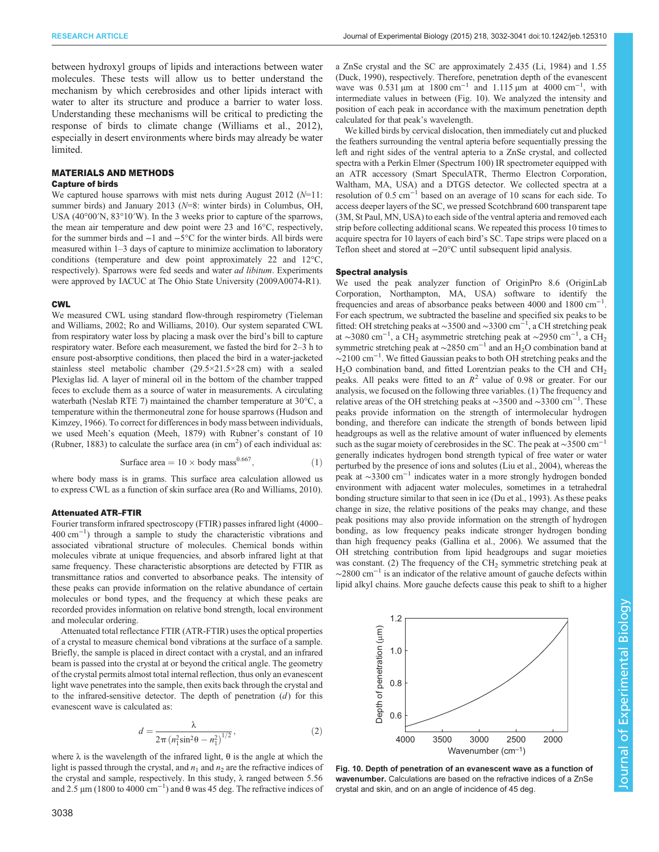between hydroxyl groups of lipids and interactions between water molecules. These tests will allow us to better understand the mechanism by which cerebrosides and other lipids interact with water to alter its structure and produce a barrier to water loss. Understanding these mechanisms will be critical to predicting the response of birds to climate change ([Williams et al., 2012\)](#page-9-0), especially in desert environments where birds may already be water limited.

# MATERIALS AND METHODS

# Capture of birds

We captured house sparrows with mist nets during August 2012 ( $N=11$ : summer birds) and January 2013 ( $N=8$ : winter birds) in Columbus, OH, USA (40°00′N, 83°10′W). In the 3 weeks prior to capture of the sparrows, the mean air temperature and dew point were 23 and 16°C, respectively, for the summer birds and −1 and −5°C for the winter birds. All birds were measured within 1–3 days of capture to minimize acclimation to laboratory conditions (temperature and dew point approximately 22 and 12°C, respectively). Sparrows were fed seeds and water ad libitum. Experiments were approved by IACUC at The Ohio State University (2009A0074-R1).

### CWL

We measured CWL using standard flow-through respirometry [\(Tieleman](#page-8-0) [and Williams, 2002; Ro and Williams, 2010\)](#page-8-0). Our system separated CWL from respiratory water loss by placing a mask over the bird's bill to capture respiratory water. Before each measurement, we fasted the bird for 2–3 h to ensure post-absorptive conditions, then placed the bird in a water-jacketed stainless steel metabolic chamber (29.5×21.5×28 cm) with a sealed Plexiglas lid. A layer of mineral oil in the bottom of the chamber trapped feces to exclude them as a source of water in measurements. A circulating waterbath (Neslab RTE 7) maintained the chamber temperature at 30°C, a temperature within the thermoneutral zone for house sparrows [\(Hudson and](#page-8-0) [Kimzey, 1966\)](#page-8-0). To correct for differences in body mass between individuals, we used Meeh's equation ([Meeh, 1879](#page-8-0)) with Rubner's constant of 10 ([Rubner, 1883\)](#page-8-0) to calculate the surface area  $(in cm<sup>2</sup>)$  of each individual as:

Surface area = 
$$
10 \times
$$
 body mass<sup>0.667</sup>, (1)

where body mass is in grams. This surface area calculation allowed us to express CWL as a function of skin surface area ([Ro and Williams, 2010](#page-8-0)).

#### Attenuated ATR–FTIR

Fourier transform infrared spectroscopy (FTIR) passes infrared light (4000– 400 cm−<sup>1</sup> ) through a sample to study the characteristic vibrations and associated vibrational structure of molecules. Chemical bonds within molecules vibrate at unique frequencies, and absorb infrared light at that same frequency. These characteristic absorptions are detected by FTIR as transmittance ratios and converted to absorbance peaks. The intensity of these peaks can provide information on the relative abundance of certain molecules or bond types, and the frequency at which these peaks are recorded provides information on relative bond strength, local environment and molecular ordering.

Attenuated total reflectance FTIR (ATR-FTIR) uses the optical properties of a crystal to measure chemical bond vibrations at the surface of a sample. Briefly, the sample is placed in direct contact with a crystal, and an infrared beam is passed into the crystal at or beyond the critical angle. The geometry of the crystal permits almost total internal reflection, thus only an evanescent light wave penetrates into the sample, then exits back through the crystal and to the infrared-sensitive detector. The depth of penetration  $(d)$  for this evanescent wave is calculated as:

$$
d = \frac{\lambda}{2\pi (n_1^2 \sin^2 \theta - n_1^2)^{1/2}},
$$
 (2)

where  $\lambda$  is the wavelength of the infrared light,  $\theta$  is the angle at which the light is passed through the crystal, and  $n_1$  and  $n_2$  are the refractive indices of the crystal and sample, respectively. In this study,  $\lambda$  ranged between 5.56 and 2.5  $\mu$ m (1800 to 4000 cm<sup>-1</sup>) and  $\theta$  was 45 deg. The refractive indices of

a ZnSe crystal and the SC are approximately 2.435 ([Li, 1984\)](#page-8-0) and 1.55 ([Duck, 1990\)](#page-8-0), respectively. Therefore, penetration depth of the evanescent wave was  $0.531 \mu m$  at 1800 cm<sup>-1</sup> and 1.115  $\mu m$  at 4000 cm<sup>-1</sup>, with intermediate values in between (Fig. 10). We analyzed the intensity and position of each peak in accordance with the maximum penetration depth calculated for that peak's wavelength.

We killed birds by cervical dislocation, then immediately cut and plucked the feathers surrounding the ventral apteria before sequentially pressing the left and right sides of the ventral apteria to a ZnSe crystal, and collected spectra with a Perkin Elmer (Spectrum 100) IR spectrometer equipped with an ATR accessory (Smart SpeculATR, Thermo Electron Corporation, Waltham, MA, USA) and a DTGS detector. We collected spectra at a resolution of 0.5 cm−<sup>1</sup> based on an average of 10 scans for each side. To access deeper layers of the SC, we pressed Scotchbrand 600 transparent tape (3M, St Paul, MN, USA) to each side of the ventral apteria and removed each strip before collecting additional scans. We repeated this process 10 times to acquire spectra for 10 layers of each bird's SC. Tape strips were placed on a Teflon sheet and stored at −20°C until subsequent lipid analysis.

### Spectral analysis

We used the peak analyzer function of OriginPro 8.6 (OriginLab Corporation, Northampton, MA, USA) software to identify the frequencies and areas of absorbance peaks between 4000 and 1800 cm−<sup>1</sup> . For each spectrum, we subtracted the baseline and specified six peaks to be fitted: OH stretching peaks at ∼3500 and ∼3300 cm−<sup>1</sup> , a CH stretching peak at ~3080 cm<sup>-1</sup>, a CH<sub>2</sub> asymmetric stretching peak at ~2950 cm<sup>-1</sup>, a CH<sub>2</sub> symmetric stretching peak at  $\sim$ 2850 cm<sup>-1</sup> and an H<sub>2</sub>O combination band at ∼2100 cm−<sup>1</sup> . We fitted Gaussian peaks to both OH stretching peaks and the  $H<sub>2</sub>O$  combination band, and fitted Lorentzian peaks to the CH and CH<sub>2</sub> peaks. All peaks were fitted to an  $R^2$  value of 0.98 or greater. For our analysis, we focused on the following three variables. (1) The frequency and relative areas of the OH stretching peaks at ∼3500 and ∼3300 cm−<sup>1</sup> . These peaks provide information on the strength of intermolecular hydrogen bonding, and therefore can indicate the strength of bonds between lipid headgroups as well as the relative amount of water influenced by elements such as the sugar moiety of cerebrosides in the SC. The peak at  $\sim$ 3500 cm<sup>-1</sup> generally indicates hydrogen bond strength typical of free water or water perturbed by the presence of ions and solutes [\(Liu et al., 2004\)](#page-8-0), whereas the peak at ∼3300 cm−<sup>1</sup> indicates water in a more strongly hydrogen bonded environment with adjacent water molecules, sometimes in a tetrahedral bonding structure similar to that seen in ice [\(Du et al., 1993](#page-8-0)). As these peaks change in size, the relative positions of the peaks may change, and these peak positions may also provide information on the strength of hydrogen bonding, as low frequency peaks indicate stronger hydrogen bonding than high frequency peaks ([Gallina et al., 2006](#page-8-0)). We assumed that the OH stretching contribution from lipid headgroups and sugar moieties was constant. (2) The frequency of the  $CH<sub>2</sub>$  symmetric stretching peak at  $\sim$ 2800 cm<sup>-1</sup> is an indicator of the relative amount of gauche defects within lipid alkyl chains. More gauche defects cause this peak to shift to a higher



Fig. 10. Depth of penetration of an evanescent wave as a function of wavenumber. Calculations are based on the refractive indices of a ZnSe crystal and skin, and on an angle of incidence of 45 deg.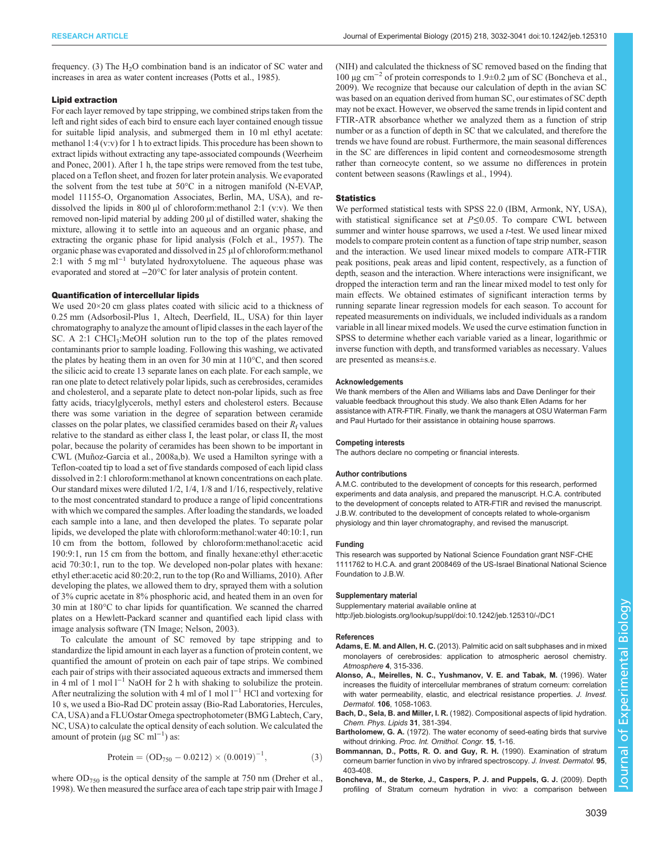<span id="page-7-0"></span>frequency. (3) The  $H_2O$  combination band is an indicator of SC water and increases in area as water content increases ([Potts et al., 1985\)](#page-8-0).

#### Lipid extraction

For each layer removed by tape stripping, we combined strips taken from the left and right sides of each bird to ensure each layer contained enough tissue for suitable lipid analysis, and submerged them in 10 ml ethyl acetate: methanol 1:4 (v:v) for 1 h to extract lipids. This procedure has been shown to extract lipids without extracting any tape-associated compounds [\(Weerheim](#page-9-0) [and Ponec, 2001](#page-9-0)). After 1 h, the tape strips were removed from the test tube, placed on a Teflon sheet, and frozen for later protein analysis. We evaporated the solvent from the test tube at 50°C in a nitrogen manifold (N-EVAP, model 11155-O, Organomation Associates, Berlin, MA, USA), and redissolved the lipids in 800  $\mu$ l of chloroform:methanol 2:1 (v:v). We then removed non-lipid material by adding 200 µl of distilled water, shaking the mixture, allowing it to settle into an aqueous and an organic phase, and extracting the organic phase for lipid analysis [\(Folch et al., 1957](#page-8-0)). The organic phase was evaporated and dissolved in 25 µl of chloroform:methanol 2:1 with 5 mg ml<sup>-1</sup> butylated hydroxytoluene. The aqueous phase was evaporated and stored at −20°C for later analysis of protein content.

## Quantification of intercellular lipids

We used 20×20 cm glass plates coated with silicic acid to a thickness of 0.25 mm (Adsorbosil-Plus 1, Altech, Deerfield, IL, USA) for thin layer chromatography to analyze the amount of lipid classes in the each layer of the SC. A 2:1 CHCl<sub>3</sub>:MeOH solution run to the top of the plates removed contaminants prior to sample loading. Following this washing, we activated the plates by heating them in an oven for 30 min at 110°C, and then scored the silicic acid to create 13 separate lanes on each plate. For each sample, we ran one plate to detect relatively polar lipids, such as cerebrosides, ceramides and cholesterol, and a separate plate to detect non-polar lipids, such as free fatty acids, triacylglycerols, methyl esters and cholesterol esters. Because there was some variation in the degree of separation between ceramide classes on the polar plates, we classified ceramides based on their  $R_f$  values relative to the standard as either class I, the least polar, or class II, the most polar, because the polarity of ceramides has been shown to be important in CWL [\(Muñoz-Garcia et al., 2008a,b\)](#page-8-0). We used a Hamilton syringe with a Teflon-coated tip to load a set of five standards composed of each lipid class dissolved in 2:1 chloroform:methanol at known concentrations on each plate. Our standard mixes were diluted 1/2, 1/4, 1/8 and 1/16, respectively, relative to the most concentrated standard to produce a range of lipid concentrations with which we compared the samples. After loading the standards, we loaded each sample into a lane, and then developed the plates. To separate polar lipids, we developed the plate with chloroform:methanol:water 40:10:1, run 10 cm from the bottom, followed by chloroform:methanol:acetic acid 190:9:1, run 15 cm from the bottom, and finally hexane:ethyl ether:acetic acid 70:30:1, run to the top. We developed non-polar plates with hexane: ethyl ether:acetic acid 80:20:2, run to the top [\(Ro and Williams, 2010\)](#page-8-0). After developing the plates, we allowed them to dry, sprayed them with a solution of 3% cupric acetate in 8% phosphoric acid, and heated them in an oven for 30 min at 180°C to char lipids for quantification. We scanned the charred plates on a Hewlett-Packard scanner and quantified each lipid class with image analysis software (TN Image; [Nelson, 2003](#page-8-0)).

To calculate the amount of SC removed by tape stripping and to standardize the lipid amount in each layer as a function of protein content, we quantified the amount of protein on each pair of tape strips. We combined each pair of strips with their associated aqueous extracts and immersed them in 4 ml of 1 mol  $l^{-1}$  NaOH for 2 h with shaking to solubilize the protein. After neutralizing the solution with 4 ml of 1 mol  $l^{-1}$  HCl and vortexing for 10 s, we used a Bio-Rad DC protein assay (Bio-Rad Laboratories, Hercules, CA, USA) and a FLUOstar Omega spectrophotometer (BMG Labtech, Cary, NC, USA) to calculate the optical density of each solution. We calculated the amount of protein ( $\mu$ g SC ml<sup>-1</sup>) as:

$$
Protein = (OD_{750} - 0.0212) \times (0.0019)^{-1}, \tag{3}
$$

where  $OD_{750}$  is the optical density of the sample at 750 nm ([Dreher et al.,](#page-8-0) [1998](#page-8-0)). We then measured the surface area of each tape strip pair with Image J (NIH) and calculated the thickness of SC removed based on the finding that 100 µg cm−<sup>2</sup> of protein corresponds to 1.9±0.2 µm of SC (Boncheva et al., 2009). We recognize that because our calculation of depth in the avian SC was based on an equation derived from human SC, our estimates of SC depth may not be exact. However, we observed the same trends in lipid content and FTIR-ATR absorbance whether we analyzed them as a function of strip number or as a function of depth in SC that we calculated, and therefore the trends we have found are robust. Furthermore, the main seasonal differences in the SC are differences in lipid content and corneodesmosome strength rather than corneocyte content, so we assume no differences in protein content between seasons ([Rawlings et al., 1994](#page-8-0)).

#### **Statistics**

We performed statistical tests with SPSS 22.0 (IBM, Armonk, NY, USA), with statistical significance set at P≤0.05. To compare CWL between summer and winter house sparrows, we used a t-test. We used linear mixed models to compare protein content as a function of tape strip number, season and the interaction. We used linear mixed models to compare ATR-FTIR peak positions, peak areas and lipid content, respectively, as a function of depth, season and the interaction. Where interactions were insignificant, we dropped the interaction term and ran the linear mixed model to test only for main effects. We obtained estimates of significant interaction terms by running separate linear regression models for each season. To account for repeated measurements on individuals, we included individuals as a random variable in all linear mixed models. We used the curve estimation function in SPSS to determine whether each variable varied as a linear, logarithmic or inverse function with depth, and transformed variables as necessary. Values are presented as means±s.e.

#### Acknowledgements

We thank members of the Allen and Williams labs and Dave Denlinger for their valuable feedback throughout this study. We also thank Ellen Adams for her assistance with ATR-FTIR. Finally, we thank the managers at OSU Waterman Farm and Paul Hurtado for their assistance in obtaining house sparrows.

#### Competing interests

The authors declare no competing or financial interests.

#### Author contributions

A.M.C. contributed to the development of concepts for this research, performed experiments and data analysis, and prepared the manuscript. H.C.A. contributed to the development of concepts related to ATR-FTIR and revised the manuscript. J.B.W. contributed to the development of concepts related to whole-organism physiology and thin layer chromatography, and revised the manuscript.

#### Funding

This research was supported by National Science Foundation grant NSF-CHE 1111762 to H.C.A. and grant 2008469 of the US-Israel Binational National Science Foundation to J.B.W.

#### Supplementary material

Supplementary material available online at <http://jeb.biologists.org/lookup/suppl/doi:10.1242/jeb.125310/-/DC1>

#### References

- Adams, E. M. and Allen, H. C. [\(2013\). Palmitic acid on salt subphases and in mixed](http://dx.doi.org/10.3390/atmos4040315) [monolayers of cerebrosides: application to atmospheric aerosol chemistry.](http://dx.doi.org/10.3390/atmos4040315) [Atmosphere](http://dx.doi.org/10.3390/atmos4040315) 4, 315-336.
- [Alonso, A., Meirelles, N. C., Yushmanov, V. E. and Tabak, M.](http://dx.doi.org/10.1111/1523-1747.ep12338682) (1996). Water [increases the fluidity of intercellular membranes of stratum corneum: correlation](http://dx.doi.org/10.1111/1523-1747.ep12338682) [with water permeability, elastic, and electrical resistance properties.](http://dx.doi.org/10.1111/1523-1747.ep12338682) J. Invest. Dermatol. 106[, 1058-1063.](http://dx.doi.org/10.1111/1523-1747.ep12338682)
- Bach, D., Sela, B. and Miller, I. R. [\(1982\). Compositional aspects of lipid hydration.](http://dx.doi.org/10.1016/0009-3084(82)90073-1) [Chem. Phys. Lipids](http://dx.doi.org/10.1016/0009-3084(82)90073-1) 31, 381-394.
- Bartholomew, G. A. (1972). The water economy of seed-eating birds that survive without drinking. Proc. Int. Ornithol. Congr. 15, 1-16.
- [Bommannan, D., Potts, R. O. and Guy, R. H.](http://dx.doi.org/10.1111/1523-1747.ep12555503) (1990). Examination of stratum [corneum barrier function in vivo by infrared spectroscopy.](http://dx.doi.org/10.1111/1523-1747.ep12555503) J. Invest. Dermatol. 95, [403-408.](http://dx.doi.org/10.1111/1523-1747.ep12555503)
- [Boncheva, M., de Sterke, J., Caspers, P. J. and Puppels, G. J.](http://dx.doi.org/10.1111/j.1600-0625.2009.00868.x) (2009). Depth [profiling of Stratum corneum hydration in vivo: a comparison between](http://dx.doi.org/10.1111/j.1600-0625.2009.00868.x)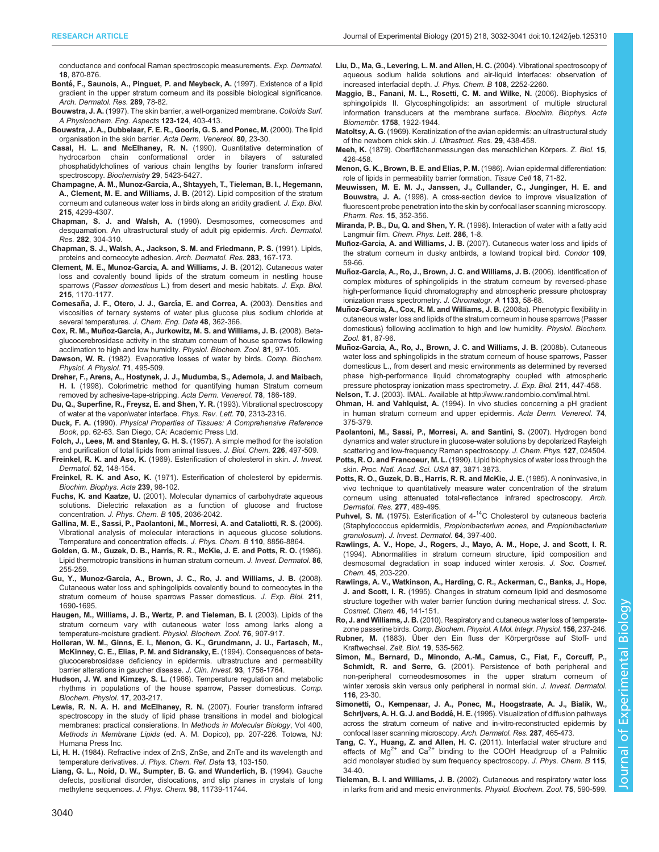<span id="page-8-0"></span>[conductance and confocal Raman spectroscopic measurements.](http://dx.doi.org/10.1111/j.1600-0625.2009.00868.x) Exp. Dermatol. 18[, 870-876.](http://dx.doi.org/10.1111/j.1600-0625.2009.00868.x)

- Bonté[, F., Saunois, A., Pinguet, P. and Meybeck, A.](http://dx.doi.org/10.1007/s004030050158) (1997). Existence of a lipid [gradient in the upper stratum corneum and its possible biological significance.](http://dx.doi.org/10.1007/s004030050158) [Arch. Dermatol. Res.](http://dx.doi.org/10.1007/s004030050158) 289, 78-82.
- Bouwstra, J. A. [\(1997\). The skin barrier, a well-organized membrane.](http://dx.doi.org/10.1016/S0927-7757(96)03819-8) Colloids Surf. [A Physicochem. Eng. Aspects](http://dx.doi.org/10.1016/S0927-7757(96)03819-8) 123-124, 403-413.
- [Bouwstra, J. A., Dubbelaar, F. E. R., Gooris, G. S. and Ponec, M.](http://dx.doi.org/10.1080/000155500750042826) (2000). The lipid [organisation in the skin barrier.](http://dx.doi.org/10.1080/000155500750042826) Acta Derm. Venereol. 80, 23-30.
- [Casal, H. L. and McElhaney, R. N.](http://dx.doi.org/10.1021/bi00475a002) (1990). Quantitative determination of [hydrocarbon chain conformational order in bilayers of saturated](http://dx.doi.org/10.1021/bi00475a002) [phosphatidylcholines of various chain lengths by fourier transform infrared](http://dx.doi.org/10.1021/bi00475a002) [spectroscopy.](http://dx.doi.org/10.1021/bi00475a002) Biochemistry 29, 5423-5427.
- [Champagne, A. M., Munoz-Garcia, A., Shtayyeh, T., Tieleman, B. I., Hegemann,](http://dx.doi.org/10.1242/jeb.077016) A., Clement, M. E. and Williams, J. B. [\(2012\). Lipid composition of the stratum](http://dx.doi.org/10.1242/jeb.077016) [corneum and cutaneous water loss in birds along an aridity gradient.](http://dx.doi.org/10.1242/jeb.077016) J. Exp. Biol. 215[, 4299-4307.](http://dx.doi.org/10.1242/jeb.077016)
- Chapman, S. J. and Walsh, A. [\(1990\). Desmosomes, corneosomes and](http://dx.doi.org/10.1007/BF00375724) [desquamation. An ultrastructural study of adult pig epidermis.](http://dx.doi.org/10.1007/BF00375724) Arch. Dermatol. Res. 282[, 304-310.](http://dx.doi.org/10.1007/BF00375724)
- [Chapman, S. J., Walsh, A., Jackson, S. M. and Friedmann, P. S.](http://dx.doi.org/10.1007/BF00372057) (1991). Lipids, [proteins and corneocyte adhesion.](http://dx.doi.org/10.1007/BF00372057) Arch. Dermatol. Res. 283, 167-173.
- [Clement, M. E., Munoz-Garcia, A. and Williams, J. B.](http://dx.doi.org/10.1242/jeb.064972) (2012). Cutaneous water [loss and covalently bound lipids of the stratum corneum in nestling house](http://dx.doi.org/10.1242/jeb.064972) sparrows (Passer domesticus [L.\) from desert and mesic habitats.](http://dx.doi.org/10.1242/jeb.064972) J. Exp. Biol. 215[, 1170-1177.](http://dx.doi.org/10.1242/jeb.064972)
- Comesañ[a, J. F., Otero, J. J., Garc](http://dx.doi.org/10.1021/je020153x)ía, E. and Correa, A. (2003). Densities and [viscosities of ternary systems of water plus glucose plus sodium chloride at](http://dx.doi.org/10.1021/je020153x) [several temperatures.](http://dx.doi.org/10.1021/je020153x) J. Chem. Eng. Data 48, 362-366.
- Cox, R. M., Muñ [oz-Garcia, A., Jurkowitz, M. S. and Williams, J. B.](http://dx.doi.org/10.1086/522652) (2008). Beta[glucocerebrosidase activity in the stratum corneum of house sparrows following](http://dx.doi.org/10.1086/522652) [acclimation to high and low humidity.](http://dx.doi.org/10.1086/522652) Physiol. Biochem. Zool. 81, 97-105.

Dawson, W. R. [\(1982\). Evaporative losses of water by birds.](http://dx.doi.org/10.1016/0300-9629(82)90198-0) Comp. Biochem. [Physiol. A Physiol.](http://dx.doi.org/10.1016/0300-9629(82)90198-0) 71, 495-509.

- [Dreher, F., Arens, A., Hostynek, J. J., Mudumba, S., Ademola, J. and Maibach,](http://dx.doi.org/10.1080/000155598441495) H. I. [\(1998\). Colorimetric method for quantifying human Stratum corneum](http://dx.doi.org/10.1080/000155598441495) [removed by adhesive-tape-stripping.](http://dx.doi.org/10.1080/000155598441495) Acta Derm. Venereol. 78, 186-189.
- [Du, Q., Superfine, R., Freysz, E. and Shen, Y. R.](http://dx.doi.org/10.1103/PhysRevLett.70.2313) (1993). Vibrational spectroscopy [of water at the vapor/water interface.](http://dx.doi.org/10.1103/PhysRevLett.70.2313) Phys. Rev. Lett. 70, 2313-2316.
- Duck, F. A. (1990). Physical Properties of Tissues: A Comprehensive Reference Book, pp. 62-63. San Diego, CA: Academic Press Ltd.
- Folch, J., Lees, M. and Stanley, G. H. S. (1957). A simple method for the isolation and purification of total lipids from animal tissues. J. Biol. Chem. 226, 497-509.
- Freinkel, R. K. and Aso, K. (1969). Esterification of cholesterol in skin. J. Invest. Dermatol. 52, 148-154.
- Freinkel, R. K. and Aso, K. [\(1971\). Esterification of cholesterol by epidermis.](http://dx.doi.org/10.1016/0005-2760(71)90198-6) [Biochim. Biophys. Acta](http://dx.doi.org/10.1016/0005-2760(71)90198-6) 239, 98-102.
- Fuchs, K. and Kaatze, U. [\(2001\). Molecular dynamics of carbohydrate aqueous](http://dx.doi.org/10.1021/jp0030084) [solutions. Dielectric relaxation as a function of glucose and fructose](http://dx.doi.org/10.1021/jp0030084) concentration. [J. Phys. Chem. B](http://dx.doi.org/10.1021/jp0030084) 105, 2036-2042.
- [Gallina, M. E., Sassi, P., Paolantoni, M., Morresi, A. and Cataliotti, R. S.](http://dx.doi.org/10.1021/jp056213y) (2006). [Vibrational analysis of molecular interactions in aqueous glucose solutions.](http://dx.doi.org/10.1021/jp056213y) [Temperature and concentration effects.](http://dx.doi.org/10.1021/jp056213y) J. Phys. Chem. B 110, 8856-8864.
- [Golden, G. M., Guzek, D. B., Harris, R. R., McKie, J. E. and Potts, R. O.](http://dx.doi.org/10.1111/1523-1747.ep12285373) (1986). [Lipid thermotropic transitions in human stratum corneum.](http://dx.doi.org/10.1111/1523-1747.ep12285373) J. Invest. Dermatol. 86, [255-259.](http://dx.doi.org/10.1111/1523-1747.ep12285373)
- [Gu, Y., Munoz-Garcia, A., Brown, J. C., Ro, J. and Williams, J. B.](http://dx.doi.org/10.1242/jeb.017186) (2008). [Cutaneous water loss and sphingolipids covalently bound to corneocytes in the](http://dx.doi.org/10.1242/jeb.017186) [stratum corneum of house sparrows Passer domesticus.](http://dx.doi.org/10.1242/jeb.017186) J. Exp. Biol. 211, [1690-1695.](http://dx.doi.org/10.1242/jeb.017186)
- [Haugen, M., Williams, J. B., Wertz, P. and Tieleman, B. I.](http://dx.doi.org/10.1086/380213) (2003). Lipids of the [stratum corneum vary with cutaneous water loss among larks along a](http://dx.doi.org/10.1086/380213) [temperature-moisture gradient.](http://dx.doi.org/10.1086/380213) Physiol. Biochem. Zool. 76, 907-917.
- [Holleran, W. M., Ginns, E. I., Menon, G. K., Grundmann, J. U., Fartasch, M.,](http://dx.doi.org/10.1172/JCI117160) [McKinney, C. E., Elias, P. M. and Sidransky, E.](http://dx.doi.org/10.1172/JCI117160) (1994). Consequences of beta[glucocerebrosidase deficiency in epidermis. ultrastructure and permeability](http://dx.doi.org/10.1172/JCI117160) [barrier alterations in gaucher disease.](http://dx.doi.org/10.1172/JCI117160) J. Clin. Invest. 93, 1756-1764.
- Hudson, J. W. and Kimzey, S. L. [\(1966\). Temperature regulation and metabolic](http://dx.doi.org/10.1016/0010-406X(66)90021-1) [rhythms in populations of the house sparrow, Passer domesticus.](http://dx.doi.org/10.1016/0010-406X(66)90021-1) Comp. [Biochem. Physiol.](http://dx.doi.org/10.1016/0010-406X(66)90021-1) 17, 203-217.
- Lewis, R. N. A. H. and McElhaney, R. N. (2007). Fourier transform infrared spectroscopy in the study of lipid phase transitions in model and biological membranes: practical consierations. In Methods in Molecular Biology, Vol 400, Methods in Membrane Lipids (ed. A. M. Dopico), pp. 207-226. Totowa, NJ: Humana Press Inc.
- Li, H. H. [\(1984\). Refractive index of ZnS, ZnSe, and ZnTe and its wavelength and](http://dx.doi.org/10.1063/1.555705) temperature derivatives. [J. Phys. Chem. Ref. Data](http://dx.doi.org/10.1063/1.555705) 13, 103-150.
- [Liang, G. L., Noid, D. W., Sumpter, B. G. and Wunderlich, B.](http://dx.doi.org/10.1021/j100096a018) (1994). Gauche [defects, positional disorder, dislocations, and slip planes in crystals of long](http://dx.doi.org/10.1021/j100096a018) [methylene sequences.](http://dx.doi.org/10.1021/j100096a018) J. Phys. Chem. 98, 11739-11744.
- [Liu, D., Ma, G., Levering, L. M. and Allen, H. C.](http://dx.doi.org/10.1021/jp036169r) (2004). Vibrational spectroscopy of [aqueous sodium halide solutions and air-liquid interfaces: observation of](http://dx.doi.org/10.1021/jp036169r) [increased interfacial depth.](http://dx.doi.org/10.1021/jp036169r) J. Phys. Chem. B 108, 2252-2260.
- [Maggio, B., Fanani, M. L., Rosetti, C. M. and Wilke, N.](http://dx.doi.org/10.1016/j.bbamem.2006.04.020) (2006). Biophysics of [sphingolipids II. Glycosphingolipids: an assortment of multiple structural](http://dx.doi.org/10.1016/j.bbamem.2006.04.020) [information transducers at the membrane surface.](http://dx.doi.org/10.1016/j.bbamem.2006.04.020) Biochim. Biophys. Acta Biomembr. 1758[, 1922-1944.](http://dx.doi.org/10.1016/j.bbamem.2006.04.020)
- Matoltsy, A. G. [\(1969\). Keratinization of the avian epidermis: an ultrastructural study](http://dx.doi.org/10.1016/S0022-5320(69)90065-3) [of the newborn chick skin.](http://dx.doi.org/10.1016/S0022-5320(69)90065-3) J. Ultrastruct. Res. 29, 438-458.

Meeh, K. (1879). Oberflãchenmessungen des menschlichen Körpers. Z. Biol. 15, 426-458.

- [Menon, G. K., Brown, B. E. and Elias, P. M.](http://dx.doi.org/10.1016/0040-8166(86)90008-X) (1986). Avian epidermal differentiation: [role of lipids in permeability barrier formation.](http://dx.doi.org/10.1016/0040-8166(86)90008-X) Tissue Cell 18, 71-82.
- [Meuwissen, M. E. M. J., Janssen, J., Cullander, C., Junginger, H. E. and](http://dx.doi.org/10.1023/A:1011999509448) Bouwstra, J. A. [\(1998\). A cross-section device to improve visualization of](http://dx.doi.org/10.1023/A:1011999509448) [fluorescent probe penetration into the skin by confocal laser scanning microscopy.](http://dx.doi.org/10.1023/A:1011999509448) [Pharm. Res.](http://dx.doi.org/10.1023/A:1011999509448) 15, 352-356.
- Miranda, P. B., Du, Q. and Shen, Y. R. [\(1998\). Interaction of water with a fatty acid](http://dx.doi.org/10.1016/S0009-2614(97)01476-0) Langmuir film. [Chem. Phys. Lett.](http://dx.doi.org/10.1016/S0009-2614(97)01476-0) 286, 1-8.
- Muñoz-Garcia, A. and Williams, J. B. [\(2007\). Cutaneous water loss and lipids of](http://dx.doi.org/10.1650/0010-5422(2007)109[59:CWLALO]2.0.CO;2) [the stratum corneum in dusky antbirds, a lowland tropical bird.](http://dx.doi.org/10.1650/0010-5422(2007)109[59:CWLALO]2.0.CO;2) Condor 109, [59-66.](http://dx.doi.org/10.1650/0010-5422(2007)109[59:CWLALO]2.0.CO;2)
- Muñ [oz-Garcia, A., Ro, J., Brown, J. C. and Williams, J. B.](http://dx.doi.org/10.1016/j.chroma.2006.06.067) (2006). Identification of [complex mixtures of sphingolipids in the stratum corneum by reversed-phase](http://dx.doi.org/10.1016/j.chroma.2006.06.067) [high-performance liquid chromatography and atmospheric pressure photospray](http://dx.doi.org/10.1016/j.chroma.2006.06.067) [ionization mass spectrometry.](http://dx.doi.org/10.1016/j.chroma.2006.06.067) J. Chromatogr. A 1133, 58-68.
- Muñ[oz-Garcia, A., Cox, R. M. and Williams, J. B.](http://dx.doi.org/10.1086/522651) (2008a). Phenotypic flexibility in [cutaneous water loss and lipids of the stratum corneum in house sparrows \(Passer](http://dx.doi.org/10.1086/522651) [domesticus\) following acclimation to high and low humidity.](http://dx.doi.org/10.1086/522651) Physiol. Biochem. Zool. 81[, 87-96.](http://dx.doi.org/10.1086/522651)
- Muñ [oz-Garcia, A., Ro, J., Brown, J. C. and Williams, J. B.](http://dx.doi.org/10.1242/jeb.013649) (2008b). Cutaneous [water loss and sphingolipids in the stratum corneum of house sparrows, Passer](http://dx.doi.org/10.1242/jeb.013649) [domesticus L., from desert and mesic environments as determined by reversed](http://dx.doi.org/10.1242/jeb.013649) [phase high-performance liquid chromatography coupled with atmospheric](http://dx.doi.org/10.1242/jeb.013649) [pressure photospray ionization mass spectrometry.](http://dx.doi.org/10.1242/jeb.013649) J. Exp. Biol. 211, 447-458.
- Nelson, T. J. (2003). IMAL. Available at<http://www.randombio.com/imal.html>.
- Ohman, H. and Vahlquist, A. (1994). In vivo studies concerning a pH gradient in human stratum corneum and upper epidermis. Acta Derm. Venereol. 74, 375-379.
- [Paolantoni, M., Sassi, P., Morresi, A. and Santini, S.](http://dx.doi.org/10.1063/1.2748405) (2007). Hydrogen bond [dynamics and water structure in glucose-water solutions by depolarized Rayleigh](http://dx.doi.org/10.1063/1.2748405) [scattering and low-frequency Raman spectroscopy.](http://dx.doi.org/10.1063/1.2748405) J. Chem. Phys. 127, 024504.
- Potts, R. O. and Francoeur, M. L. [\(1990\). Lipid biophysics of water loss through the](http://dx.doi.org/10.1073/pnas.87.10.3871) skin. [Proc. Natl. Acad. Sci. USA](http://dx.doi.org/10.1073/pnas.87.10.3871) 87, 3871-3873.
- [Potts, R. O., Guzek, D. B., Harris, R. R. and McKie, J. E.](http://dx.doi.org/10.1007/BF00510068) (1985). A noninvasive, in [vivo technique to quantitatively measure water concentration of the stratum](http://dx.doi.org/10.1007/BF00510068) [corneum using attenuated total-reflectance infrared spectroscopy.](http://dx.doi.org/10.1007/BF00510068) Arch. [Dermatol. Res.](http://dx.doi.org/10.1007/BF00510068) 277, 489-495.
- **Puhvel, S. M.** [\(1975\).](http://dx.doi.org/10.1111/1523-1747.ep12512331) [Esterification](http://dx.doi.org/10.1111/1523-1747.ep12512331) [of](http://dx.doi.org/10.1111/1523-1747.ep12512331)  $4^{-14}$ C Cholesterol by cutaneous bacteria [\(Staphylococcus epidermidis,](http://dx.doi.org/10.1111/1523-1747.ep12512331) Propionibacterium acnes, and Propionibacterium granulosum). [J. Invest. Dermatol.](http://dx.doi.org/10.1111/1523-1747.ep12512331) 64, 397-400.
- Rawlings, A. V., Hope, J., Rogers, J., Mayo, A. M., Hope, J. and Scott, I. R. (1994). Abnormalities in stratum corneum structure, lipid composition and desmosomal degradation in soap induced winter xerosis. J. Soc. Cosmet. Chem. 45, 203-220.
- Rawlings, A. V., Watkinson, A., Harding, C. R., Ackerman, C., Banks, J., Hope, J. and Scott, I. R. (1995). Changes in stratum corneum lipid and desmosome structure together with water barrier function during mechanical stress. J. Soc. Cosmet. Chem. 46, 141-151.
- Ro, J. and Williams, J. B. [\(2010\). Respiratory and cutaneous water loss of temperate](http://dx.doi.org/10.1016/j.cbpa.2010.02.008)zone passerine birds. [Comp. Biochem. Physiol. A Mol. Integr. Physiol.](http://dx.doi.org/10.1016/j.cbpa.2010.02.008) 156, 237-246.
- Rubner, M. (1883). Über den Ein fluss der Körpergrösse auf Stoff- und Kraftwechsel. Zeit. Biol. 19, 535-562.
- [Simon, M., Bernard, D., Minondo, A.-M., Camus, C., Fiat, F., Corcuff, P.,](http://dx.doi.org/10.1046/j.1523-1747.2001.00208.x) Schmidt, R. and Serre, G. [\(2001\). Persistence of both peripheral and](http://dx.doi.org/10.1046/j.1523-1747.2001.00208.x) [non-peripheral corneodesmosomes in the upper stratum corneum of](http://dx.doi.org/10.1046/j.1523-1747.2001.00208.x) [winter xerosis skin versus only peripheral in normal skin.](http://dx.doi.org/10.1046/j.1523-1747.2001.00208.x) J. Invest. Dermatol. 116[, 23-30.](http://dx.doi.org/10.1046/j.1523-1747.2001.00208.x)
- [Simonetti, O., Kempenaar, J. A., Ponec, M., Hoogstraate, A. J., Bialik, W.,](http://dx.doi.org/10.1007/BF00373430) Schrijvers, A. H. G. J. and Boddé, H. E. [\(1995\). Visualization of diffusion pathways](http://dx.doi.org/10.1007/BF00373430) [across the stratum corneum of native and in-vitro-reconstructed epidermis by](http://dx.doi.org/10.1007/BF00373430) [confocal laser scanning microscopy.](http://dx.doi.org/10.1007/BF00373430) Arch. Dermatol. Res. 287, 465-473.
- [Tang, C. Y., Huang, Z. and Allen, H. C.](http://dx.doi.org/10.1021/jp1062447) (2011). Interfacial water structure and [effects](http://dx.doi.org/10.1021/jp1062447) [of](http://dx.doi.org/10.1021/jp1062447)  $Mg^{2+}$  $Mg^{2+}$  [and](http://dx.doi.org/10.1021/jp1062447)  $Ca^{2+}$  $Ca^{2+}$  [binding to the COOH Headgroup of a Palmitic](http://dx.doi.org/10.1021/jp1062447) [acid monolayer studied by sum frequency spectroscopy.](http://dx.doi.org/10.1021/jp1062447) J. Phys. Chem. B 115, [34-40.](http://dx.doi.org/10.1021/jp1062447)
- Tieleman, B. I. and Williams, J. B. [\(2002\). Cutaneous and respiratory water loss](http://dx.doi.org/10.1086/344491) [in larks from arid and mesic environments.](http://dx.doi.org/10.1086/344491) Physiol. Biochem. Zool. 75, 590-599.